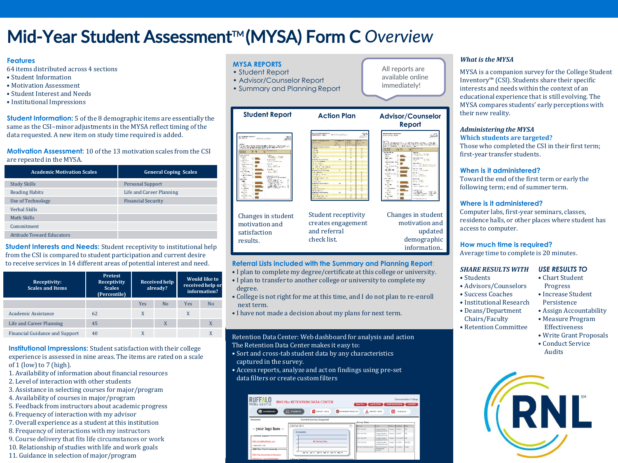# Mid-Year Student Assessment<sup>™</sup> (MYSA) Form C Overview

#### **Features**

64 items distributed across 4 sections

- Student Information
- Motivation Assessment
- Student Interest and Needs
- Institutional Impressions

**Student Information:** 5 of the 8 demographic items are essentially the same as the CSI–minor adjustments in the MYSA reflect timing of the data requested. A new item on study time required is added.

**Motivation Assessment:** 10 of the 13 motivation scales from the CSI are repeated in the MYSA.

| <b>Academic Motivation Scales</b> | <b>General Coping Scales</b> |
|-----------------------------------|------------------------------|
| <b>Study Skills</b>               | <b>Personal Support</b>      |
| <b>Reading Habits</b>             | Life and Career Planning     |
| <b>Use of Technology</b>          | <b>Financial Security</b>    |
| <b>Verbal Skills</b>              |                              |
| Math Skills                       |                              |
| Commitment                        |                              |
| <b>Attitude Toward Educators</b>  |                              |

**Student Interests and Needs:** Student receptivity to institutional help from the CSI is compared to student participation and current desire to receive services in 14 different areas of potential interest and need.

| Receptivity:<br><b>Scales and Items</b> | Pretest<br>Receptivity<br><b>Scales</b><br>(Percentile) | <b>Received help</b><br>already? |                |     |    |  | <b>Would like to</b><br>received help or<br>information? |  |
|-----------------------------------------|---------------------------------------------------------|----------------------------------|----------------|-----|----|--|----------------------------------------------------------|--|
|                                         |                                                         | Yes                              | N <sub>0</sub> | Yes | No |  |                                                          |  |
| <b>Academic Assistance</b>              | 62                                                      |                                  |                | X   |    |  |                                                          |  |
| Life and Career Planning                | 45                                                      |                                  | X              |     | X  |  |                                                          |  |
| <b>Financial Guidance and Support</b>   | 40                                                      |                                  |                |     | X  |  |                                                          |  |

**Institutional Impressions:** Student satisfaction with their college experience is assessed in nine areas. The items are rated on a scale of 1 (low) to 7 (high).

- 1. Availability of information about financial resources
- 2. Level of interaction with other students
- 3. Assistance in selecting courses for major/program
- 4. Availability of courses in major/program
- 5. Feedback from instructors about academic progress
- 6. Frequency of interaction with my advisor
- 7. Overall experience as a student at this institution
- 8. Frequency of interactions with my instructors
- 9. Course delivery that fits life circumstances or work
- 10. Relationship of studies with life and work goals
- 11. Guidance in selection of major/program

#### **MYSA REPORTS**

satisfaction results.

- Student Report
- Advisor/Counselor Report
- Summary and Planning Report

| <b>Bill for Goled Services</b><br><b>Search</b><br>Mariam Sudden Association<br><b>VIELE</b><br>MCCA flatteds Depart<br><b>Student Regist - Face C</b><br>Alley Green President<br><b>Big &amp; Wilson</b><br><b>NAME ASSOCIATES</b><br>ter W<br><b>State and William</b><br><b>SALA</b><br>North and<br>HVAS for you Road<br><b>CONTRACTOR</b><br><b>EXPERIENCE PRODUCT</b><br><b>No. 1779 Base of</b><br><b>Takens</b><br><b>Northern</b><br><b>ASSISTED</b><br><b>British Barn</b><br><b>Video</b><br><b>Brand St.</b><br>The contract of the property of the contract of the contract of the contract of the contract of the contract of the contract of the contract of the contract of the contract of the contract of the contract of the contract o<br><b>No. You arrived</b><br>a sa<br><b>William Ave.</b><br><b>COMPANY</b><br>shakes.<br><b>BY IT WHY</b><br><b>Bind Bank</b><br><b>MAY WE</b><br>To an Alternative and Automatical characters of the complete<br>A convertible interval to the continue of the status of<br><b>Seature Course Seattles</b><br>٠<br>THE R. LEWIS CO., LANSING MICH. 49-14039-1-120-2 . CONTRACTOR COMPANY OF REAL PROPERTY.<br><b>HARASHARA</b><br>$-11$<br>$\mathbf{H}$<br>We shall that a three has a several proces-<br>t.<br><b>Mindelphine</b><br>m.<br>25, 22<br><b>AM 6 8 8</b><br>÷.<br>Se<br>10.18<br>on freezester<br><b>Widows M</b><br>$-2$<br>w<br>÷<br><b>Norvice</b><br><b>James</b><br><b>NATION TIBELS</b><br>Comp Hot<br>n.<br><br>Anie in<br><b>ALC: NAME</b><br><b>Anders March</b><br><b>College</b><br>cramptions cloud<br><b>STATE</b><br>٠<br>٠<br><b>Name</b><br>aw fall. - Trees<br><b>Miller Parker</b><br>$\sim$<br>w<br><b>MAY JOS</b><br><b>San Altricity</b><br><b>Sales, New</b><br><b>When</b><br>۰<br><b>Scattery Scrattered a</b><br><b>A start and control</b><br>Louis Kanna<br>The c<br>$-1$<br><b>BY 10 500</b><br><b>Continued at</b><br>Affirm, Management<br>si.<br>$\overline{\phantom{a}}$<br>time.<br><b>CONTRACTOR</b><br>$\sim$<br>and a series to<br>÷<br>30.43.0<br>Pass.<br>0.17 m<br><b>Charles Constitution</b><br><b>COLOR</b><br>×.<br><b>Side</b><br><b>Vento</b><br><b>CANNEL</b><br>24.1<br>All many of Many and Many Rock and All Mon-<br>the complete to an<br>allias abbrit for<br>$\sim$<br>dead of them were as<br><b>STRAPHY COVA</b><br><b>Killer</b><br>÷<br><b>CONTRACTOR</b><br><b>Basic Warrants</b><br><b>Contract</b><br><b>Security Color</b><br><b>Show</b><br>to and a threat from the<br>٠<br>Now the England<br><b>Dealers</b> Marketing<br><b>Subject Fold Sales</b><br>Allian Freeze<br><b>Call Corp.</b><br><b>CONTRACTOR</b><br>$m = 1$<br><b>Witness</b><br><b>REGISTER</b><br>the search company and<br>$\overline{a}$<br>٠<br><b>Select</b><br><b>Country</b><br>a McSeattlessen<br>٠<br>A SUB- IN BIAFFEL<br><b>STATISTICS</b><br><b>Northern</b><br><b>Advertisers</b><br><b>There</b><br>Pasters on Automobile<br>$\overline{\phantom{a}}$<br>front 40 - across the<br>٠<br><b>CONTRACTOR</b><br>$-0.55$<br>×<br><b>University</b><br>teach at a<br>٠<br><b>Contract Contract</b><br><b>ALCOHOL:</b><br>di Linda<br>All of College Co.<br>of Sep<br>$\overline{\phantom{a}}$<br>٠<br><b>KALIFA</b><br>$\overline{\phantom{a}}$<br>Ave June<br>≂<br>MONTH CATARING<br><b>TON</b><br><b>CALL</b><br><b>CALLY'S CALL DAY OF</b><br>×<br><b>PRESS CA</b><br>110 Mai 110 M 110 111<br><b>By 11, 198</b><br>Suite April 2 11 E<br>12.3<br>v.<br>$-444 - 451$<br>si.<br>News, Charles C. A. Soc.<br>product to the product state of<br><b>State</b><br><b>CONTRACT</b><br>tic.<br>$\sim$<br><b>All Advised</b><br><b>Contractor</b><br>ы<br><b>P.Sac - Halth 2605</b><br>×<br><b>CONTRACTOR</b><br>to.<br><b>TAXABLE</b><br><b>Note of the American</b><br>$\sim$<br><b>General</b><br>Colorado Calver<br><b>New Fire</b><br><b>Scalibri Intribution</b><br>٠<br>Wayn New<br><b>CALCULAR</b><br><b>DOM NO</b><br>Mission<br>CANNATHERE'S EAM<br><b>ANTENNETTAK</b><br>$\sim$<br>w<br>also contrast and contra-<br><b>COLOR</b> | <b>Student Report</b> | <b>Action Plan</b> |  |   | <b>Advisor/Counselor</b><br>Report |                                      |  |
|----------------------------------------------------------------------------------------------------------------------------------------------------------------------------------------------------------------------------------------------------------------------------------------------------------------------------------------------------------------------------------------------------------------------------------------------------------------------------------------------------------------------------------------------------------------------------------------------------------------------------------------------------------------------------------------------------------------------------------------------------------------------------------------------------------------------------------------------------------------------------------------------------------------------------------------------------------------------------------------------------------------------------------------------------------------------------------------------------------------------------------------------------------------------------------------------------------------------------------------------------------------------------------------------------------------------------------------------------------------------------------------------------------------------------------------------------------------------------------------------------------------------------------------------------------------------------------------------------------------------------------------------------------------------------------------------------------------------------------------------------------------------------------------------------------------------------------------------------------------------------------------------------------------------------------------------------------------------------------------------------------------------------------------------------------------------------------------------------------------------------------------------------------------------------------------------------------------------------------------------------------------------------------------------------------------------------------------------------------------------------------------------------------------------------------------------------------------------------------------------------------------------------------------------------------------------------------------------------------------------------------------------------------------------------------------------------------------------------------------------------------------------------------------------------------------------------------------------------------------------------------------------------------------------------------------------------------------------------------------------------------------------------------------------------------------------------------------------------------------------------------------------------------------------------------------------------------------------------------------------------------------------------------------------------------------------------------------------------------------------------------------------------------------------------------------------------------------------------------------------------------------------------------------------------------------------------------------------------------------------------------------------------------------------------------------------------------------------------------------------------------------------------------------------------------------------------------------------------------------------------------------------------------------------------------------------------------------------------------------------------------------------------------------------------------|-----------------------|--------------------|--|---|------------------------------------|--------------------------------------|--|
|                                                                                                                                                                                                                                                                                                                                                                                                                                                                                                                                                                                                                                                                                                                                                                                                                                                                                                                                                                                                                                                                                                                                                                                                                                                                                                                                                                                                                                                                                                                                                                                                                                                                                                                                                                                                                                                                                                                                                                                                                                                                                                                                                                                                                                                                                                                                                                                                                                                                                                                                                                                                                                                                                                                                                                                                                                                                                                                                                                                                                                                                                                                                                                                                                                                                                                                                                                                                                                                                                                                                                                                                                                                                                                                                                                                                                                                                                                                                                                                                                                                          |                       |                    |  |   |                                    | $-7.74$<br>100001-001<br>Martin Ave. |  |
|                                                                                                                                                                                                                                                                                                                                                                                                                                                                                                                                                                                                                                                                                                                                                                                                                                                                                                                                                                                                                                                                                                                                                                                                                                                                                                                                                                                                                                                                                                                                                                                                                                                                                                                                                                                                                                                                                                                                                                                                                                                                                                                                                                                                                                                                                                                                                                                                                                                                                                                                                                                                                                                                                                                                                                                                                                                                                                                                                                                                                                                                                                                                                                                                                                                                                                                                                                                                                                                                                                                                                                                                                                                                                                                                                                                                                                                                                                                                                                                                                                                          |                       |                    |  |   |                                    |                                      |  |
|                                                                                                                                                                                                                                                                                                                                                                                                                                                                                                                                                                                                                                                                                                                                                                                                                                                                                                                                                                                                                                                                                                                                                                                                                                                                                                                                                                                                                                                                                                                                                                                                                                                                                                                                                                                                                                                                                                                                                                                                                                                                                                                                                                                                                                                                                                                                                                                                                                                                                                                                                                                                                                                                                                                                                                                                                                                                                                                                                                                                                                                                                                                                                                                                                                                                                                                                                                                                                                                                                                                                                                                                                                                                                                                                                                                                                                                                                                                                                                                                                                                          |                       |                    |  |   |                                    |                                      |  |
|                                                                                                                                                                                                                                                                                                                                                                                                                                                                                                                                                                                                                                                                                                                                                                                                                                                                                                                                                                                                                                                                                                                                                                                                                                                                                                                                                                                                                                                                                                                                                                                                                                                                                                                                                                                                                                                                                                                                                                                                                                                                                                                                                                                                                                                                                                                                                                                                                                                                                                                                                                                                                                                                                                                                                                                                                                                                                                                                                                                                                                                                                                                                                                                                                                                                                                                                                                                                                                                                                                                                                                                                                                                                                                                                                                                                                                                                                                                                                                                                                                                          |                       |                    |  |   |                                    |                                      |  |
|                                                                                                                                                                                                                                                                                                                                                                                                                                                                                                                                                                                                                                                                                                                                                                                                                                                                                                                                                                                                                                                                                                                                                                                                                                                                                                                                                                                                                                                                                                                                                                                                                                                                                                                                                                                                                                                                                                                                                                                                                                                                                                                                                                                                                                                                                                                                                                                                                                                                                                                                                                                                                                                                                                                                                                                                                                                                                                                                                                                                                                                                                                                                                                                                                                                                                                                                                                                                                                                                                                                                                                                                                                                                                                                                                                                                                                                                                                                                                                                                                                                          |                       |                    |  |   |                                    |                                      |  |
|                                                                                                                                                                                                                                                                                                                                                                                                                                                                                                                                                                                                                                                                                                                                                                                                                                                                                                                                                                                                                                                                                                                                                                                                                                                                                                                                                                                                                                                                                                                                                                                                                                                                                                                                                                                                                                                                                                                                                                                                                                                                                                                                                                                                                                                                                                                                                                                                                                                                                                                                                                                                                                                                                                                                                                                                                                                                                                                                                                                                                                                                                                                                                                                                                                                                                                                                                                                                                                                                                                                                                                                                                                                                                                                                                                                                                                                                                                                                                                                                                                                          |                       |                    |  |   |                                    | which will be to be being            |  |
|                                                                                                                                                                                                                                                                                                                                                                                                                                                                                                                                                                                                                                                                                                                                                                                                                                                                                                                                                                                                                                                                                                                                                                                                                                                                                                                                                                                                                                                                                                                                                                                                                                                                                                                                                                                                                                                                                                                                                                                                                                                                                                                                                                                                                                                                                                                                                                                                                                                                                                                                                                                                                                                                                                                                                                                                                                                                                                                                                                                                                                                                                                                                                                                                                                                                                                                                                                                                                                                                                                                                                                                                                                                                                                                                                                                                                                                                                                                                                                                                                                                          |                       |                    |  |   |                                    |                                      |  |
|                                                                                                                                                                                                                                                                                                                                                                                                                                                                                                                                                                                                                                                                                                                                                                                                                                                                                                                                                                                                                                                                                                                                                                                                                                                                                                                                                                                                                                                                                                                                                                                                                                                                                                                                                                                                                                                                                                                                                                                                                                                                                                                                                                                                                                                                                                                                                                                                                                                                                                                                                                                                                                                                                                                                                                                                                                                                                                                                                                                                                                                                                                                                                                                                                                                                                                                                                                                                                                                                                                                                                                                                                                                                                                                                                                                                                                                                                                                                                                                                                                                          |                       |                    |  |   |                                    |                                      |  |
|                                                                                                                                                                                                                                                                                                                                                                                                                                                                                                                                                                                                                                                                                                                                                                                                                                                                                                                                                                                                                                                                                                                                                                                                                                                                                                                                                                                                                                                                                                                                                                                                                                                                                                                                                                                                                                                                                                                                                                                                                                                                                                                                                                                                                                                                                                                                                                                                                                                                                                                                                                                                                                                                                                                                                                                                                                                                                                                                                                                                                                                                                                                                                                                                                                                                                                                                                                                                                                                                                                                                                                                                                                                                                                                                                                                                                                                                                                                                                                                                                                                          |                       |                    |  |   |                                    | desired a state                      |  |
|                                                                                                                                                                                                                                                                                                                                                                                                                                                                                                                                                                                                                                                                                                                                                                                                                                                                                                                                                                                                                                                                                                                                                                                                                                                                                                                                                                                                                                                                                                                                                                                                                                                                                                                                                                                                                                                                                                                                                                                                                                                                                                                                                                                                                                                                                                                                                                                                                                                                                                                                                                                                                                                                                                                                                                                                                                                                                                                                                                                                                                                                                                                                                                                                                                                                                                                                                                                                                                                                                                                                                                                                                                                                                                                                                                                                                                                                                                                                                                                                                                                          |                       |                    |  |   |                                    |                                      |  |
|                                                                                                                                                                                                                                                                                                                                                                                                                                                                                                                                                                                                                                                                                                                                                                                                                                                                                                                                                                                                                                                                                                                                                                                                                                                                                                                                                                                                                                                                                                                                                                                                                                                                                                                                                                                                                                                                                                                                                                                                                                                                                                                                                                                                                                                                                                                                                                                                                                                                                                                                                                                                                                                                                                                                                                                                                                                                                                                                                                                                                                                                                                                                                                                                                                                                                                                                                                                                                                                                                                                                                                                                                                                                                                                                                                                                                                                                                                                                                                                                                                                          |                       |                    |  |   |                                    |                                      |  |
|                                                                                                                                                                                                                                                                                                                                                                                                                                                                                                                                                                                                                                                                                                                                                                                                                                                                                                                                                                                                                                                                                                                                                                                                                                                                                                                                                                                                                                                                                                                                                                                                                                                                                                                                                                                                                                                                                                                                                                                                                                                                                                                                                                                                                                                                                                                                                                                                                                                                                                                                                                                                                                                                                                                                                                                                                                                                                                                                                                                                                                                                                                                                                                                                                                                                                                                                                                                                                                                                                                                                                                                                                                                                                                                                                                                                                                                                                                                                                                                                                                                          |                       |                    |  |   |                                    | for the the second company for       |  |
|                                                                                                                                                                                                                                                                                                                                                                                                                                                                                                                                                                                                                                                                                                                                                                                                                                                                                                                                                                                                                                                                                                                                                                                                                                                                                                                                                                                                                                                                                                                                                                                                                                                                                                                                                                                                                                                                                                                                                                                                                                                                                                                                                                                                                                                                                                                                                                                                                                                                                                                                                                                                                                                                                                                                                                                                                                                                                                                                                                                                                                                                                                                                                                                                                                                                                                                                                                                                                                                                                                                                                                                                                                                                                                                                                                                                                                                                                                                                                                                                                                                          |                       |                    |  |   |                                    |                                      |  |
|                                                                                                                                                                                                                                                                                                                                                                                                                                                                                                                                                                                                                                                                                                                                                                                                                                                                                                                                                                                                                                                                                                                                                                                                                                                                                                                                                                                                                                                                                                                                                                                                                                                                                                                                                                                                                                                                                                                                                                                                                                                                                                                                                                                                                                                                                                                                                                                                                                                                                                                                                                                                                                                                                                                                                                                                                                                                                                                                                                                                                                                                                                                                                                                                                                                                                                                                                                                                                                                                                                                                                                                                                                                                                                                                                                                                                                                                                                                                                                                                                                                          |                       |                    |  |   |                                    |                                      |  |
|                                                                                                                                                                                                                                                                                                                                                                                                                                                                                                                                                                                                                                                                                                                                                                                                                                                                                                                                                                                                                                                                                                                                                                                                                                                                                                                                                                                                                                                                                                                                                                                                                                                                                                                                                                                                                                                                                                                                                                                                                                                                                                                                                                                                                                                                                                                                                                                                                                                                                                                                                                                                                                                                                                                                                                                                                                                                                                                                                                                                                                                                                                                                                                                                                                                                                                                                                                                                                                                                                                                                                                                                                                                                                                                                                                                                                                                                                                                                                                                                                                                          |                       |                    |  |   |                                    |                                      |  |
|                                                                                                                                                                                                                                                                                                                                                                                                                                                                                                                                                                                                                                                                                                                                                                                                                                                                                                                                                                                                                                                                                                                                                                                                                                                                                                                                                                                                                                                                                                                                                                                                                                                                                                                                                                                                                                                                                                                                                                                                                                                                                                                                                                                                                                                                                                                                                                                                                                                                                                                                                                                                                                                                                                                                                                                                                                                                                                                                                                                                                                                                                                                                                                                                                                                                                                                                                                                                                                                                                                                                                                                                                                                                                                                                                                                                                                                                                                                                                                                                                                                          |                       |                    |  |   |                                    |                                      |  |
|                                                                                                                                                                                                                                                                                                                                                                                                                                                                                                                                                                                                                                                                                                                                                                                                                                                                                                                                                                                                                                                                                                                                                                                                                                                                                                                                                                                                                                                                                                                                                                                                                                                                                                                                                                                                                                                                                                                                                                                                                                                                                                                                                                                                                                                                                                                                                                                                                                                                                                                                                                                                                                                                                                                                                                                                                                                                                                                                                                                                                                                                                                                                                                                                                                                                                                                                                                                                                                                                                                                                                                                                                                                                                                                                                                                                                                                                                                                                                                                                                                                          |                       |                    |  |   |                                    |                                      |  |
|                                                                                                                                                                                                                                                                                                                                                                                                                                                                                                                                                                                                                                                                                                                                                                                                                                                                                                                                                                                                                                                                                                                                                                                                                                                                                                                                                                                                                                                                                                                                                                                                                                                                                                                                                                                                                                                                                                                                                                                                                                                                                                                                                                                                                                                                                                                                                                                                                                                                                                                                                                                                                                                                                                                                                                                                                                                                                                                                                                                                                                                                                                                                                                                                                                                                                                                                                                                                                                                                                                                                                                                                                                                                                                                                                                                                                                                                                                                                                                                                                                                          |                       |                    |  |   |                                    |                                      |  |
|                                                                                                                                                                                                                                                                                                                                                                                                                                                                                                                                                                                                                                                                                                                                                                                                                                                                                                                                                                                                                                                                                                                                                                                                                                                                                                                                                                                                                                                                                                                                                                                                                                                                                                                                                                                                                                                                                                                                                                                                                                                                                                                                                                                                                                                                                                                                                                                                                                                                                                                                                                                                                                                                                                                                                                                                                                                                                                                                                                                                                                                                                                                                                                                                                                                                                                                                                                                                                                                                                                                                                                                                                                                                                                                                                                                                                                                                                                                                                                                                                                                          |                       |                    |  |   |                                    |                                      |  |
|                                                                                                                                                                                                                                                                                                                                                                                                                                                                                                                                                                                                                                                                                                                                                                                                                                                                                                                                                                                                                                                                                                                                                                                                                                                                                                                                                                                                                                                                                                                                                                                                                                                                                                                                                                                                                                                                                                                                                                                                                                                                                                                                                                                                                                                                                                                                                                                                                                                                                                                                                                                                                                                                                                                                                                                                                                                                                                                                                                                                                                                                                                                                                                                                                                                                                                                                                                                                                                                                                                                                                                                                                                                                                                                                                                                                                                                                                                                                                                                                                                                          |                       |                    |  |   |                                    |                                      |  |
|                                                                                                                                                                                                                                                                                                                                                                                                                                                                                                                                                                                                                                                                                                                                                                                                                                                                                                                                                                                                                                                                                                                                                                                                                                                                                                                                                                                                                                                                                                                                                                                                                                                                                                                                                                                                                                                                                                                                                                                                                                                                                                                                                                                                                                                                                                                                                                                                                                                                                                                                                                                                                                                                                                                                                                                                                                                                                                                                                                                                                                                                                                                                                                                                                                                                                                                                                                                                                                                                                                                                                                                                                                                                                                                                                                                                                                                                                                                                                                                                                                                          |                       |                    |  |   |                                    |                                      |  |
|                                                                                                                                                                                                                                                                                                                                                                                                                                                                                                                                                                                                                                                                                                                                                                                                                                                                                                                                                                                                                                                                                                                                                                                                                                                                                                                                                                                                                                                                                                                                                                                                                                                                                                                                                                                                                                                                                                                                                                                                                                                                                                                                                                                                                                                                                                                                                                                                                                                                                                                                                                                                                                                                                                                                                                                                                                                                                                                                                                                                                                                                                                                                                                                                                                                                                                                                                                                                                                                                                                                                                                                                                                                                                                                                                                                                                                                                                                                                                                                                                                                          |                       |                    |  |   |                                    |                                      |  |
|                                                                                                                                                                                                                                                                                                                                                                                                                                                                                                                                                                                                                                                                                                                                                                                                                                                                                                                                                                                                                                                                                                                                                                                                                                                                                                                                                                                                                                                                                                                                                                                                                                                                                                                                                                                                                                                                                                                                                                                                                                                                                                                                                                                                                                                                                                                                                                                                                                                                                                                                                                                                                                                                                                                                                                                                                                                                                                                                                                                                                                                                                                                                                                                                                                                                                                                                                                                                                                                                                                                                                                                                                                                                                                                                                                                                                                                                                                                                                                                                                                                          |                       |                    |  |   |                                    |                                      |  |
|                                                                                                                                                                                                                                                                                                                                                                                                                                                                                                                                                                                                                                                                                                                                                                                                                                                                                                                                                                                                                                                                                                                                                                                                                                                                                                                                                                                                                                                                                                                                                                                                                                                                                                                                                                                                                                                                                                                                                                                                                                                                                                                                                                                                                                                                                                                                                                                                                                                                                                                                                                                                                                                                                                                                                                                                                                                                                                                                                                                                                                                                                                                                                                                                                                                                                                                                                                                                                                                                                                                                                                                                                                                                                                                                                                                                                                                                                                                                                                                                                                                          |                       |                    |  |   |                                    |                                      |  |
|                                                                                                                                                                                                                                                                                                                                                                                                                                                                                                                                                                                                                                                                                                                                                                                                                                                                                                                                                                                                                                                                                                                                                                                                                                                                                                                                                                                                                                                                                                                                                                                                                                                                                                                                                                                                                                                                                                                                                                                                                                                                                                                                                                                                                                                                                                                                                                                                                                                                                                                                                                                                                                                                                                                                                                                                                                                                                                                                                                                                                                                                                                                                                                                                                                                                                                                                                                                                                                                                                                                                                                                                                                                                                                                                                                                                                                                                                                                                                                                                                                                          |                       |                    |  |   |                                    |                                      |  |
|                                                                                                                                                                                                                                                                                                                                                                                                                                                                                                                                                                                                                                                                                                                                                                                                                                                                                                                                                                                                                                                                                                                                                                                                                                                                                                                                                                                                                                                                                                                                                                                                                                                                                                                                                                                                                                                                                                                                                                                                                                                                                                                                                                                                                                                                                                                                                                                                                                                                                                                                                                                                                                                                                                                                                                                                                                                                                                                                                                                                                                                                                                                                                                                                                                                                                                                                                                                                                                                                                                                                                                                                                                                                                                                                                                                                                                                                                                                                                                                                                                                          |                       |                    |  |   |                                    | their six                            |  |
|                                                                                                                                                                                                                                                                                                                                                                                                                                                                                                                                                                                                                                                                                                                                                                                                                                                                                                                                                                                                                                                                                                                                                                                                                                                                                                                                                                                                                                                                                                                                                                                                                                                                                                                                                                                                                                                                                                                                                                                                                                                                                                                                                                                                                                                                                                                                                                                                                                                                                                                                                                                                                                                                                                                                                                                                                                                                                                                                                                                                                                                                                                                                                                                                                                                                                                                                                                                                                                                                                                                                                                                                                                                                                                                                                                                                                                                                                                                                                                                                                                                          |                       |                    |  |   |                                    | Automobility of the control          |  |
|                                                                                                                                                                                                                                                                                                                                                                                                                                                                                                                                                                                                                                                                                                                                                                                                                                                                                                                                                                                                                                                                                                                                                                                                                                                                                                                                                                                                                                                                                                                                                                                                                                                                                                                                                                                                                                                                                                                                                                                                                                                                                                                                                                                                                                                                                                                                                                                                                                                                                                                                                                                                                                                                                                                                                                                                                                                                                                                                                                                                                                                                                                                                                                                                                                                                                                                                                                                                                                                                                                                                                                                                                                                                                                                                                                                                                                                                                                                                                                                                                                                          |                       |                    |  |   |                                    |                                      |  |
| ٠<br>The first continuous comes<br>Whitehammings Spit                                                                                                                                                                                                                                                                                                                                                                                                                                                                                                                                                                                                                                                                                                                                                                                                                                                                                                                                                                                                                                                                                                                                                                                                                                                                                                                                                                                                                                                                                                                                                                                                                                                                                                                                                                                                                                                                                                                                                                                                                                                                                                                                                                                                                                                                                                                                                                                                                                                                                                                                                                                                                                                                                                                                                                                                                                                                                                                                                                                                                                                                                                                                                                                                                                                                                                                                                                                                                                                                                                                                                                                                                                                                                                                                                                                                                                                                                                                                                                                                    |                       |                    |  | m |                                    |                                      |  |

**Changes in student** Student motivation and and referral check list.

# Student receptivity creates engagement Changes in student

All reports are available online immediately!

motivation and updated demographic information..

#### **Referral Lists included with the Summary and Planning Report:**

- I plan to complete my degree/certificate at this college or university.
- I plan to transfer to another college or university to complete my degree.
- College is not right for me at this time, and I do not plan to re-enroll next term.
- I have not made a decision about my plans for next term.

Retention Data Center: Web dashboard for analysis and action The Retention Data Center makes it easy to:

- Sort and cross-tab student data by any characteristics captured in the survey.
- Access reports, analyze and act on findings using pre-set data filters or create custom filters

| <b>RUFFALO</b><br><b>NOEL LEVITZ</b>                                | <b>RMS Plus RETENTION DATA CENTER</b>           | How To                            | myFILTERS                                                                                | <b>CONFIGURATION</b>                                   | <b>Demonstration College</b><br>LOGOUT |
|---------------------------------------------------------------------|-------------------------------------------------|-----------------------------------|------------------------------------------------------------------------------------------|--------------------------------------------------------|----------------------------------------|
| <b>DASHBOARD</b>                                                    | ā<br><b>STUDENTS</b><br>EXPORT DATA             | SUMMARY RESULTS                   | <b>WPORT DATA</b>                                                                        | <b>SURVEYS</b>                                         |                                        |
| Welcome                                                             | <b>Current Survey Snapshot</b>                  |                                   | r Survey Status                                                                          |                                                        |                                        |
| -- your logo here --                                                | CSI Fall 2015<br># Completes                    | $\overline{\mathbf{v}}$<br>Server | <b><i><u>Harry</u></i></b><br>CSI Fall 2017<br>College Student<br>Inventory Form B       | <b>Kind Date</b><br><b>Student</b><br>Closed<br>SHOD17 | <b>Runs</b><br>los                     |
| r-Technical Support-                                                |                                                 |                                   | CRI Full 2018<br>College Student<br>Inventory Form G<br>CSI Fall 2018<br>College Student | <b>MADELY</b><br>Circuit<br>Closed<br>12/21/2015 00    | on                                     |
| RMS.Tech@RuffaloNL.com<br>1-803-876-1117                            | No Survey Data                                  |                                   | Inventory Form 8<br>nti Evil torr<br>College Student<br>Inventory Form B                 | 5/10014<br>Closed                                      | 405,523                                |
| -RMS Plus Client Community-                                         | A.<br>Dec 16 Jan 17 Peb 17 Mar 17 Apr 17 May 17 |                                   | MYSA Fall-Hinter 2015<br>Mid-Year Student<br>Assassment.<br><b>Brew B</b>                | 3/15/2014<br>Closed                                    | 5.455                                  |
| RMS Plus Community of Educators<br>Planning for Your Administration | as Sumary Soundbrills                           |                                   |                                                                                          |                                                        |                                        |

#### *What is the MYSA*

MYSA is a companion survey for the College Student Inventory™ (CSI). Students share their specific interests and needs within the context of an educational experience that is still evolving. The MYSA compares students' early perceptions with their new reality.

#### *Administering the MYSA*

**Which students are targeted?**

Those who completed the CSI in their first term; first-year transfer students.

# **When is it administered?**

Toward the end of the first term or early the following term; end of summer term.

### **Where is it administered?**

Computer labs, first-year seminars, classes, residence halls, or other places where student has access to computer.

# **How much time is required?**

Average time to complete is 20 minutes.

#### *SHARE RESULTS WITH USE RESULTS TO* • Chart Student

- Students
- Advisors/Counselors
- Success Coaches • Institutional Research
	- Persistence • Assign Accountability
- Deans/Department Chairs/Faculty • Measure Program
- Retention Committee
	- **Effectiveness** • Write Grant Proposals
	- Conduct Service Audits

Progress • Increase Student